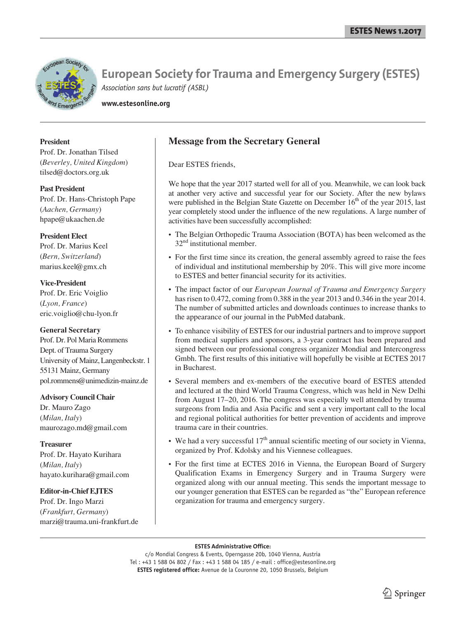

**www.estesonline.org**

## **President**

Prof. Dr. Jonathan Tilsed (*Beverley, United Kingdom*) tilsed@doctors.org.uk

**Past President** Prof. Dr. Hans-Christoph Pape (*Aachen, Germany*) hpape@ukaachen.de

### **President Elect**

Prof. Dr. Marius Keel (*Bern, Switzerland*) marius.keel@gmx.ch

**Vice-President** Prof. Dr. Eric Voiglio (*Lyon, France*) eric.voiglio@chu-lyon.fr

## **General Secretary**

Prof. Dr. Pol Maria Rommens Dept. of Trauma Surgery University of Mainz, Langenbeckstr. 1 55131 Mainz, Germany pol.rommens@unimedizin-mainz.de

### **Advisory Council Chair**

Dr. Mauro Zago (*Milan, Italy*) maurozago.md@gmail.com

## **Treasurer**

Prof. Dr. Hayato Kurihara (*Milan, Italy*) hayato.kurihara@gmail.com

## **Editor-in-Chief EJTES**

Prof. Dr. Ingo Marzi (*Frankfurt, Germany*) marzi@trauma.uni-frankfurt.de

## **Message from the Secretary General**

Dear ESTES friends,

We hope that the year 2017 started well for all of you. Meanwhile, we can look back at another very active and successful year for our Society. After the new bylaws were published in the Belgian State Gazette on December  $16<sup>th</sup>$  of the year 2015, last year completely stood under the influence of the new regulations. A large number of activities have been successfully accomplished:

- The Belgian Orthopedic Trauma Association (BOTA) has been welcomed as the 32<sup>nd</sup> institutional member.
- For the first time since its creation, the general assembly agreed to raise the fees of individual and institutional membership by 20%. This will give more income to ESTES and better financial security for its activities.
- The impact factor of our *European Journal of Trauma and Emergency Surgery* has risen to 0.472, coming from 0.388 in the year 2013 and 0.346 in the year 2014. The number of submitted articles and downloads continues to increase thanks to the appearance of our journal in the PubMed databank.
- To enhance visibility of ESTES for our industrial partners and to improve support from medical suppliers and sponsors, a 3-year contract has been prepared and signed between our professional congress organizer Mondial and Intercongress Gmbh. The first results of this initiative will hopefully be visible at ECTES 2017 in Bucharest.
- Several members and ex-members of the executive board of ESTES attended and lectured at the third World Trauma Congress, which was held in New Delhi from August 17–20, 2016. The congress was especially well attended by trauma surgeons from India and Asia Pacific and sent a very important call to the local and regional political authorities for better prevention of accidents and improve trauma care in their countries.
- We had a very successful  $17<sup>th</sup>$  annual scientific meeting of our society in Vienna, organized by Prof. Kdolsky and his Viennese colleagues.
- For the first time at ECTES 2016 in Vienna, the European Board of Surgery Qualification Exams in Emergency Surgery and in Trauma Surgery were organized along with our annual meeting. This sends the important message to our younger generation that ESTES can be regarded as "the" European reference organization for trauma and emergency surgery.

#### **ESTES Administrative Office:**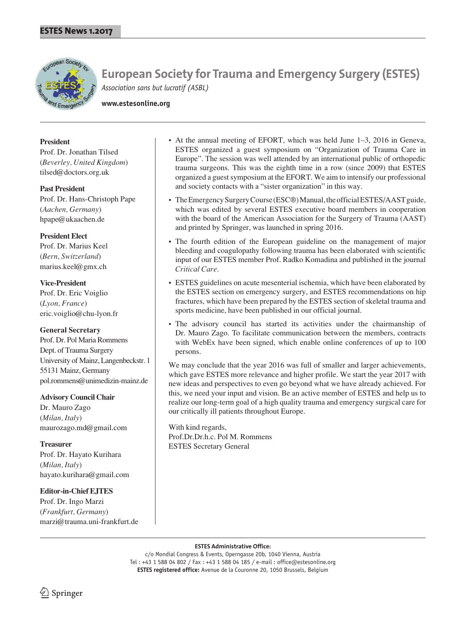

**www.estesonline.org**

## **President**

Prof. Dr. Jonathan Tilsed (*Beverley, United Kingdom*) tilsed@doctors.org.uk

## **Past President**

Prof. Dr. Hans-Christoph Pape (*Aachen, Germany*) hpape@ukaachen.de

## **President Elect**

Prof. Dr. Marius Keel (*Bern, Switzerland*) marius.keel@gmx.ch

## **Vice-President**

Prof. Dr. Eric Voiglio (*Lyon, France*) eric.voiglio@chu-lyon.fr

## **General Secretary**

Prof. Dr. Pol Maria Rommens Dept. of Trauma Surgery University of Mainz, Langenbeckstr. 1 55131 Mainz, Germany pol.rommens@unimedizin-mainz.de

## **Advisory Council Chair**

Dr. Mauro Zago (*Milan, Italy*) maurozago.md@gmail.com

## **Treasurer**

Prof. Dr. Hayato Kurihara (*Milan, Italy*) hayato.kurihara@gmail.com

## **Editor-in-Chief EJTES**

Prof. Dr. Ingo Marzi (*Frankfurt, Germany*) marzi@trauma.uni-frankfurt.de

- At the annual meeting of EFORT, which was held June 1–3, 2016 in Geneva, ESTES organized a guest symposium on "Organization of Trauma Care in Europe". The session was well attended by an international public of orthopedic trauma surgeons. This was the eighth time in a row (since 2009) that ESTES organized a guest symposium at the EFORT. We aim to intensify our professional and society contacts with a "sister organization" in this way.
- The Emergency Surgery Course (ESC®) Manual, the official ESTES/AAST guide, which was edited by several ESTES executive board members in cooperation with the board of the American Association for the Surgery of Trauma (AAST) and printed by Springer, was launched in spring 2016.
- The fourth edition of the European guideline on the management of major bleeding and coagulopathy following trauma has been elaborated with scientific input of our ESTES member Prof. Radko Komadina and published in the journal *Critical Care*.
- ESTES guidelines on acute mesenterial ischemia, which have been elaborated by the ESTES section on emergency surgery, and ESTES recommendations on hip fractures, which have been prepared by the ESTES section of skeletal trauma and sports medicine, have been published in our official journal.
- The advisory council has started its activities under the chairmanship of Dr. Mauro Zago. To facilitate communication between the members, contracts with WebEx have been signed, which enable online conferences of up to 100 persons.

We may conclude that the year 2016 was full of smaller and larger achievements, which gave ESTES more relevance and higher profile. We start the year 2017 with new ideas and perspectives to even go beyond what we have already achieved. For this, we need your input and vision. Be an active member of ESTES and help us to realize our long-term goal of a high quality trauma and emergency surgical care for our critically ill patients throughout Europe.

With kind regards, Prof.Dr.Dr.h.c. Pol M. Rommens ESTES Secretary General

### **ESTES Administrative Office:**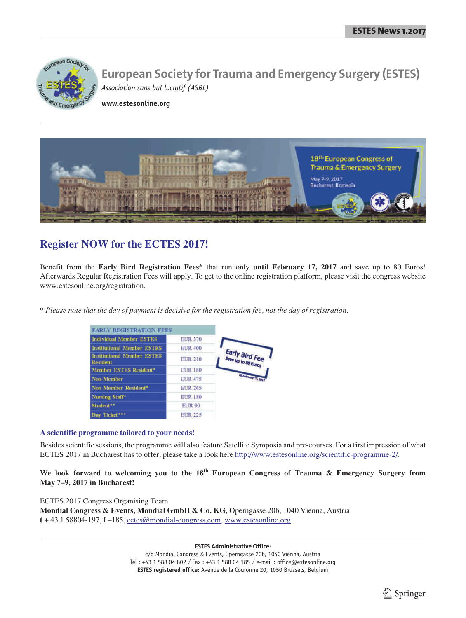

**www.estesonline.org**



## **Register NOW for the ECTES 2017!**

Benefit from the **Early Bird Registration Fees\*** that run only **until February 17, 2017** and save up to 80 Euros! Afterwards Regular Registration Fees will apply. To get to the online registration platform, please visit the congress website www.estesonline.org/registration.

*\* Please note that the day of payment is decisive for the registration fee, not the day of registration.*

| <b>EARLY REGISTRATION FEES</b>                       |                |                       |
|------------------------------------------------------|----------------|-----------------------|
| <b>Individual Member ESTES</b>                       | <b>EUR 370</b> |                       |
| <b>Institutional Member ESTES</b>                    | <b>EUR 400</b> |                       |
| <b>Institutional Member ESTES</b><br><b>Resident</b> | <b>EUR 210</b> | Early Bird Fee        |
| Member ESTES Resident*                               | <b>EUR 180</b> |                       |
| Non-Member                                           | <b>EUR 475</b> | <b>BENNINGTO, 207</b> |
| Non-Member Resident*                                 | <b>EUR 265</b> |                       |
| Nursing Staff*                                       | <b>EUR 180</b> |                       |
| Student <sup>**</sup>                                | <b>EUR 90</b>  |                       |
| Day Ticket***                                        | <b>EUR 225</b> |                       |

### **A scientific programme tailored to your needs!**

Besides scientific sessions, the programme will also feature Satellite Symposia and pre-courses. For a first impression of what ECTES 2017 in Bucharest has to offer, please take a look here http://www.estesonline.org/scientific-programme-2/.

**We look forward to welcoming you to the 18th European Congress of Trauma & Emergency Surgery from May 7–9, 2017 in Bucharest!**

ECTES 2017 Congress Organising Team **Mondial Congress & Events, Mondial GmbH & Co. KG**, Operngasse 20b, 1040 Vienna, Austria **t** + 43 1 58804-197, **f** –185, ectes@mondial-congress.com, www.estesonline.org

**ESTES Administrative Office:**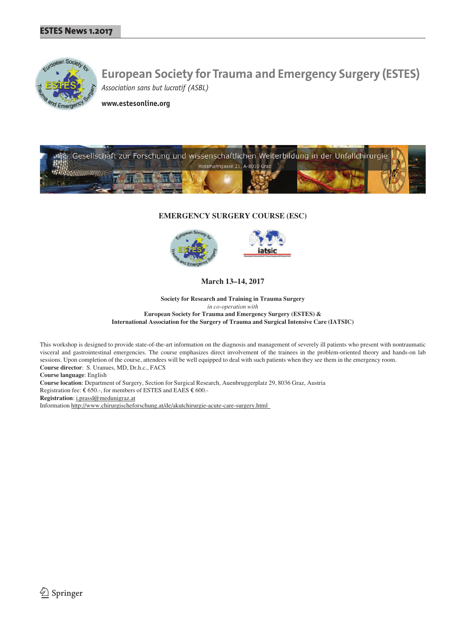

**www.estesonline.org**



### **EMERGENCY SURGERY COURSE (ESC)**



**March 13–14, 2017**

**Society for Research and Training in Trauma Surgery** *in co-operation with* **European Society for Trauma and Emergency Surgery (ESTES) & International Association for the Surgery of Trauma and Surgical Intensive Care (IATSIC)**

This workshop is designed to provide state-of-the-art information on the diagnosis and management of severely ill patients who present with nontraumatic visceral and gastrointestinal emergencies. The course emphasizes direct involvement of the trainees in the problem-oriented theory and hands-on lab sessions. Upon completion of the course, attendees will be well equipped to deal with such patients when they see them in the emergency room. **Course director**: S. Uranues, MD, Dr.h.c., FACS

**Course language**: English

**Course location**: Department of Surgery, Section for Surgical Research, Auenbruggerplatz 29, 8036 Graz, Austria Registration fee:  $\epsilon$  650.-, for members of ESTES and EAES  $\epsilon$  600.-

**Registration**: i.prassl@medunigraz.at

Information http://www.chirurgischeforschung.at/de/akutchirurgie-acute-care-surgery.html